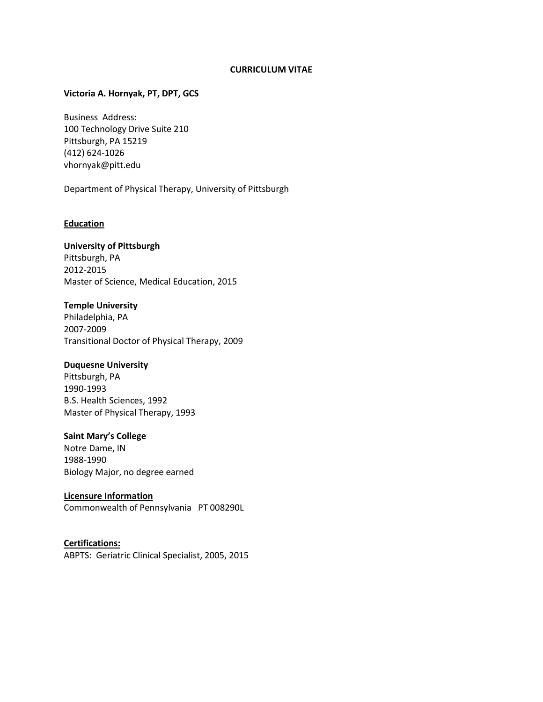### **CURRICULUM VITAE**

### **Victoria A. Hornyak, PT, DPT, GCS**

Business Address: 100 Technology Drive Suite 210 Pittsburgh, PA 15219 (412) 624-1026 vhornyak@pitt.edu

Department of Physical Therapy, University of Pittsburgh

### **Education**

### **University of Pittsburgh**

Pittsburgh, PA 2012-2015 Master of Science, Medical Education, 2015

# **Temple University**

Philadelphia, PA 2007-2009 Transitional Doctor of Physical Therapy, 2009

# **Duquesne University**

Pittsburgh, PA 1990-1993 B.S. Health Sciences, 1992 Master of Physical Therapy, 1993

### **Saint Mary's College**

Notre Dame, IN 1988-1990 Biology Major, no degree earned

# **Licensure Information**

Commonwealth of Pennsylvania PT 008290L

# **Certifications:**

ABPTS: Geriatric Clinical Specialist, 2005, 2015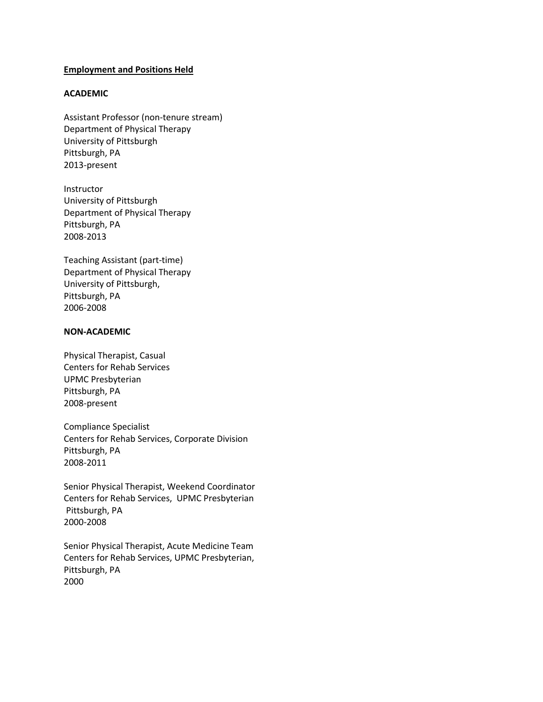### **Employment and Positions Held**

### **ACADEMIC**

Assistant Professor (non-tenure stream) Department of Physical Therapy University of Pittsburgh Pittsburgh, PA 2013-present

Instructor University of Pittsburgh Department of Physical Therapy Pittsburgh, PA 2008-2013

Teaching Assistant (part-time) Department of Physical Therapy University of Pittsburgh, Pittsburgh, PA 2006-2008

### **NON-ACADEMIC**

Physical Therapist, Casual Centers for Rehab Services UPMC Presbyterian Pittsburgh, PA 2008-present

Compliance Specialist Centers for Rehab Services, Corporate Division Pittsburgh, PA 2008-2011

Senior Physical Therapist, Weekend Coordinator Centers for Rehab Services, UPMC Presbyterian Pittsburgh, PA 2000-2008

Senior Physical Therapist, Acute Medicine Team Centers for Rehab Services, UPMC Presbyterian, Pittsburgh, PA 2000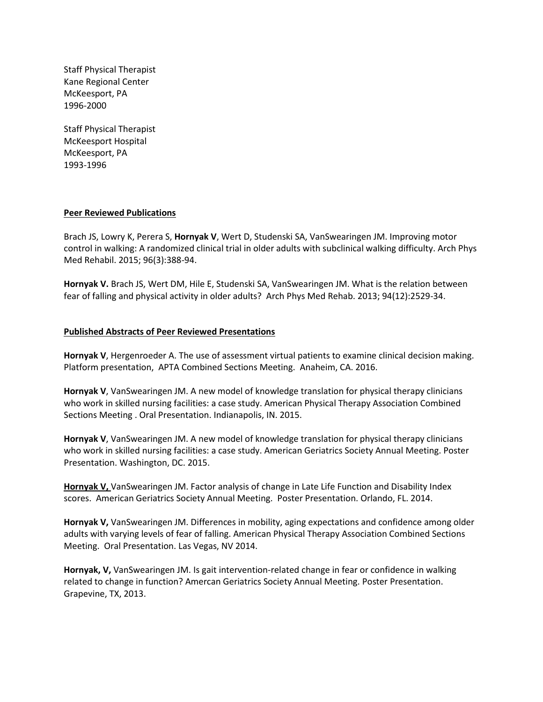Staff Physical Therapist Kane Regional Center McKeesport, PA 1996-2000

Staff Physical Therapist McKeesport Hospital McKeesport, PA 1993-1996

### **Peer Reviewed Publications**

Brach JS, Lowry K, Perera S, **Hornyak V**, Wert D, Studenski SA, VanSwearingen JM. Improving motor control in walking: A randomized clinical trial in older adults with subclinical walking difficulty. Arch Phys Med Rehabil. 2015; 96(3):388-94.

**Hornyak V.** Brach JS, Wert DM, Hile E, Studenski SA, VanSwearingen JM. What is the relation between fear of falling and physical activity in older adults? Arch Phys Med Rehab. 2013; 94(12):2529-34.

### **Published Abstracts of Peer Reviewed Presentations**

**Hornyak V**, Hergenroeder A. The use of assessment virtual patients to examine clinical decision making. Platform presentation, APTA Combined Sections Meeting. Anaheim, CA. 2016.

**Hornyak V**, VanSwearingen JM. A new model of knowledge translation for physical therapy clinicians who work in skilled nursing facilities: a case study. American Physical Therapy Association Combined Sections Meeting . Oral Presentation. Indianapolis, IN. 2015.

**Hornyak V**, VanSwearingen JM. A new model of knowledge translation for physical therapy clinicians who work in skilled nursing facilities: a case study. American Geriatrics Society Annual Meeting. Poster Presentation. Washington, DC. 2015.

**Hornyak V,** VanSwearingen JM. Factor analysis of change in Late Life Function and Disability Index scores. American Geriatrics Society Annual Meeting. Poster Presentation. Orlando, FL. 2014.

**Hornyak V,** VanSwearingen JM. Differences in mobility, aging expectations and confidence among older adults with varying levels of fear of falling. American Physical Therapy Association Combined Sections Meeting. Oral Presentation. Las Vegas, NV 2014.

**Hornyak, V,** VanSwearingen JM. Is gait intervention-related change in fear or confidence in walking related to change in function? Amercan Geriatrics Society Annual Meeting. Poster Presentation. Grapevine, TX, 2013.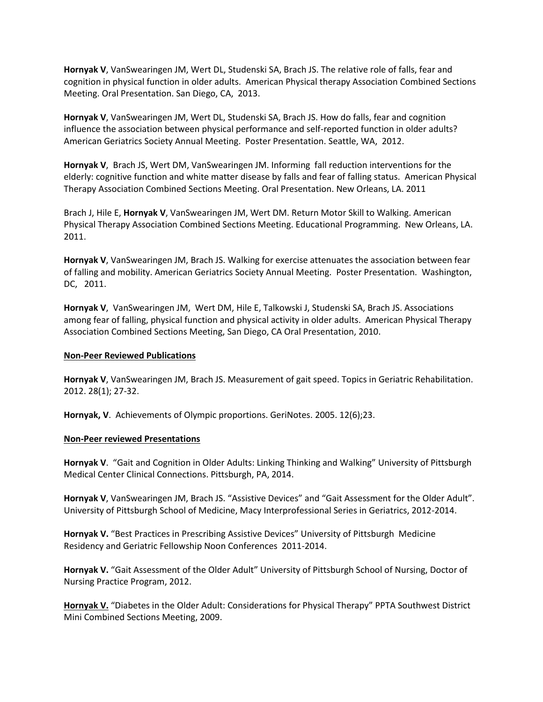**Hornyak V**, VanSwearingen JM, Wert DL, Studenski SA, Brach JS. The relative role of falls, fear and cognition in physical function in older adults. American Physical therapy Association Combined Sections Meeting. Oral Presentation. San Diego, CA, 2013.

**Hornyak V**, VanSwearingen JM, Wert DL, Studenski SA, Brach JS. How do falls, fear and cognition influence the association between physical performance and self-reported function in older adults? American Geriatrics Society Annual Meeting. Poster Presentation. Seattle, WA, 2012.

**Hornyak V**, Brach JS, Wert DM, VanSwearingen JM. Informing fall reduction interventions for the elderly: cognitive function and white matter disease by falls and fear of falling status. American Physical Therapy Association Combined Sections Meeting. Oral Presentation. New Orleans, LA. 2011

Brach J, Hile E, **Hornyak V**, VanSwearingen JM, Wert DM. Return Motor Skill to Walking. American Physical Therapy Association Combined Sections Meeting. Educational Programming. New Orleans, LA. 2011.

**Hornyak V**, VanSwearingen JM, Brach JS. Walking for exercise attenuates the association between fear of falling and mobility. American Geriatrics Society Annual Meeting. Poster Presentation. Washington, DC, 2011.

**Hornyak V**, VanSwearingen JM, Wert DM, Hile E, Talkowski J, Studenski SA, Brach JS. Associations among fear of falling, physical function and physical activity in older adults. American Physical Therapy Association Combined Sections Meeting, San Diego, CA Oral Presentation, 2010.

### **Non-Peer Reviewed Publications**

**Hornyak V**, VanSwearingen JM, Brach JS. Measurement of gait speed. Topics in Geriatric Rehabilitation. 2012. 28(1); 27-32.

**Hornyak, V**. Achievements of Olympic proportions. GeriNotes. 2005. 12(6);23.

### **Non-Peer reviewed Presentations**

**Hornyak V**. "Gait and Cognition in Older Adults: Linking Thinking and Walking" University of Pittsburgh Medical Center Clinical Connections. Pittsburgh, PA, 2014.

**Hornyak V**, VanSwearingen JM, Brach JS. "Assistive Devices" and "Gait Assessment for the Older Adult". University of Pittsburgh School of Medicine, Macy Interprofessional Series in Geriatrics, 2012-2014.

**Hornyak V.** "Best Practices in Prescribing Assistive Devices" University of Pittsburgh Medicine Residency and Geriatric Fellowship Noon Conferences 2011-2014.

**Hornyak V.** "Gait Assessment of the Older Adult" University of Pittsburgh School of Nursing, Doctor of Nursing Practice Program, 2012.

**Hornyak V.** "Diabetes in the Older Adult: Considerations for Physical Therapy" PPTA Southwest District Mini Combined Sections Meeting, 2009.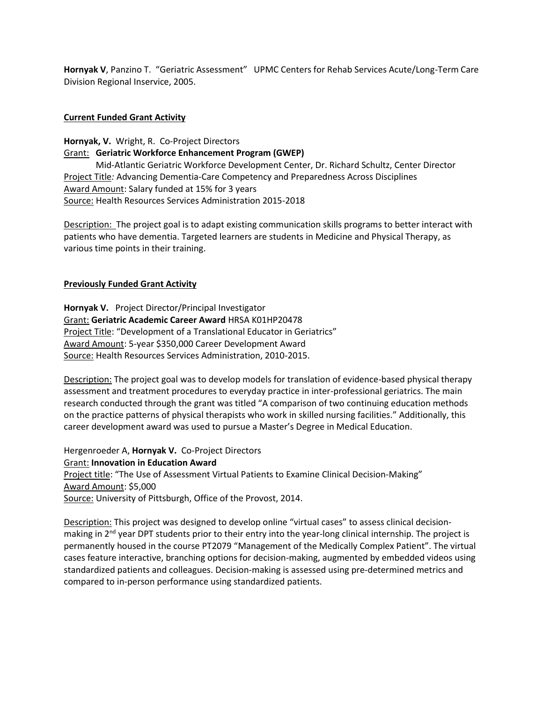**Hornyak V**, Panzino T. "Geriatric Assessment" UPMC Centers for Rehab Services Acute/Long-Term Care Division Regional Inservice, 2005.

# **Current Funded Grant Activity**

**Hornyak, V.** Wright, R. Co-Project Directors Grant: **Geriatric Workforce Enhancement Program (GWEP)**  Mid-Atlantic Geriatric Workforce Development Center, Dr. Richard Schultz, Center Director Project Title*:* Advancing Dementia-Care Competency and Preparedness Across Disciplines Award Amount: Salary funded at 15% for 3 years Source: Health Resources Services Administration 2015-2018

Description: The project goal is to adapt existing communication skills programs to better interact with patients who have dementia. Targeted learners are students in Medicine and Physical Therapy, as various time points in their training.

# **Previously Funded Grant Activity**

**Hornyak V.** Project Director/Principal Investigator Grant: **Geriatric Academic Career Award** HRSA K01HP20478 Project Title: "Development of a Translational Educator in Geriatrics" Award Amount: 5-year \$350,000 Career Development Award Source: Health Resources Services Administration, 2010-2015.

Description: The project goal was to develop models for translation of evidence-based physical therapy assessment and treatment procedures to everyday practice in inter-professional geriatrics. The main research conducted through the grant was titled "A comparison of two continuing education methods on the practice patterns of physical therapists who work in skilled nursing facilities." Additionally, this career development award was used to pursue a Master's Degree in Medical Education.

Hergenroeder A, **Hornyak V.** Co-Project Directors Grant: **Innovation in Education Award** Project title: "The Use of Assessment Virtual Patients to Examine Clinical Decision-Making" Award Amount: \$5,000 Source: University of Pittsburgh, Office of the Provost, 2014.

Description: This project was designed to develop online "virtual cases" to assess clinical decisionmaking in 2<sup>nd</sup> year DPT students prior to their entry into the year-long clinical internship. The project is permanently housed in the course PT2079 "Management of the Medically Complex Patient". The virtual cases feature interactive, branching options for decision-making, augmented by embedded videos using standardized patients and colleagues. Decision-making is assessed using pre-determined metrics and compared to in-person performance using standardized patients.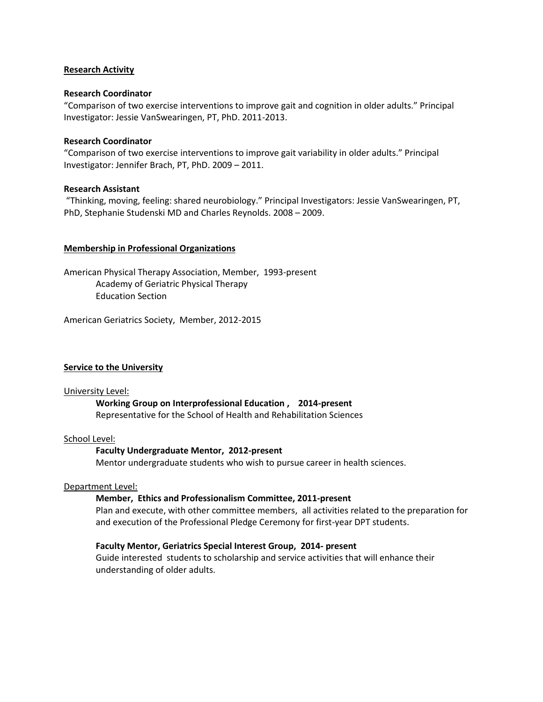### **Research Activity**

### **Research Coordinator**

"Comparison of two exercise interventions to improve gait and cognition in older adults." Principal Investigator: Jessie VanSwearingen, PT, PhD. 2011-2013.

### **Research Coordinator**

"Comparison of two exercise interventions to improve gait variability in older adults." Principal Investigator: Jennifer Brach, PT, PhD. 2009 – 2011.

# **Research Assistant**

"Thinking, moving, feeling: shared neurobiology." Principal Investigators: Jessie VanSwearingen, PT, PhD, Stephanie Studenski MD and Charles Reynolds. 2008 – 2009.

# **Membership in Professional Organizations**

American Physical Therapy Association, Member, 1993-present Academy of Geriatric Physical Therapy Education Section

American Geriatrics Society, Member, 2012-2015

# **Service to the University**

### University Level:

# **Working Group on Interprofessional Education , 2014-present**

Representative for the School of Health and Rehabilitation Sciences

### School Level:

# **Faculty Undergraduate Mentor, 2012-present**

Mentor undergraduate students who wish to pursue career in health sciences.

### Department Level:

# **Member, Ethics and Professionalism Committee, 2011-present**

Plan and execute, with other committee members, all activities related to the preparation for and execution of the Professional Pledge Ceremony for first-year DPT students.

# **Faculty Mentor, Geriatrics Special Interest Group, 2014- present**

Guide interested students to scholarship and service activities that will enhance their understanding of older adults.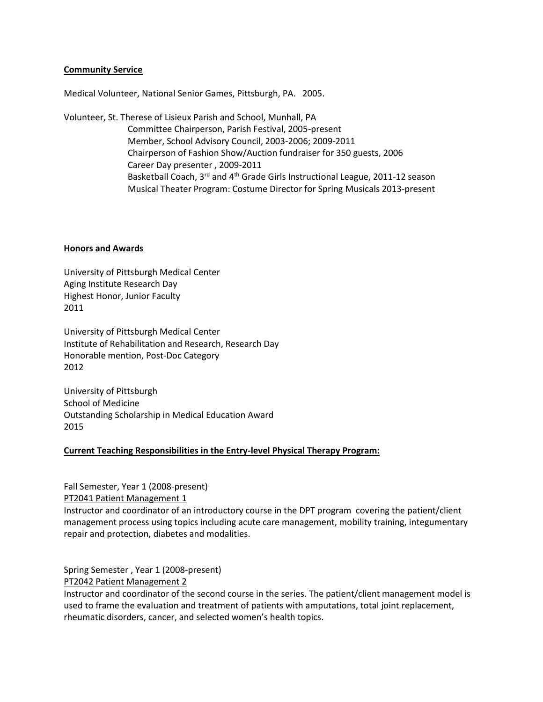### **Community Service**

Medical Volunteer, National Senior Games, Pittsburgh, PA. 2005.

Volunteer, St. Therese of Lisieux Parish and School, Munhall, PA Committee Chairperson, Parish Festival, 2005-present Member, School Advisory Council, 2003-2006; 2009-2011 Chairperson of Fashion Show/Auction fundraiser for 350 guests, 2006 Career Day presenter , 2009-2011 Basketball Coach, 3<sup>rd</sup> and 4<sup>th</sup> Grade Girls Instructional League, 2011-12 season Musical Theater Program: Costume Director for Spring Musicals 2013-present

### **Honors and Awards**

University of Pittsburgh Medical Center Aging Institute Research Day Highest Honor, Junior Faculty 2011

University of Pittsburgh Medical Center Institute of Rehabilitation and Research, Research Day Honorable mention, Post-Doc Category 2012

University of Pittsburgh School of Medicine Outstanding Scholarship in Medical Education Award 2015

# **Current Teaching Responsibilities in the Entry-level Physical Therapy Program:**

Fall Semester, Year 1 (2008-present) PT2041 Patient Management 1 Instructor and coordinator of an introductory course in the DPT program covering the patient/client management process using topics including acute care management, mobility training, integumentary repair and protection, diabetes and modalities.

Spring Semester , Year 1 (2008-present)

PT2042 Patient Management 2

Instructor and coordinator of the second course in the series. The patient/client management model is used to frame the evaluation and treatment of patients with amputations, total joint replacement, rheumatic disorders, cancer, and selected women's health topics.